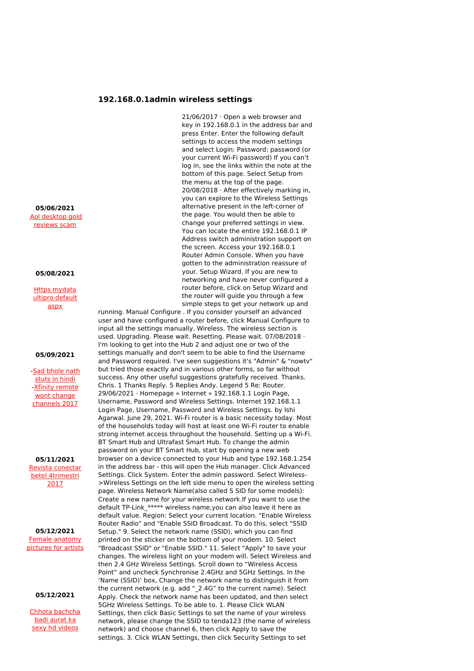# **192.168.0.1admin wireless settings**

 $21/06/2017 \cdot$  Open a web browser and key in 192.168.0.1 in the address bar and press Enter. Enter the following default settings to access the modem settings and select Login: Password: password (or your current Wi-Fi password) If you can't log in, see the links within the note at the bottom of this page. Select Setup from the menu at the top of the page. 20/08/2018 · After effectively marking in, you can explore to the Wireless Settings alternative present in the left-corner of the page. You would then be able to change your preferred settings in view. You can locate the entire 192.168.0.1 IP Address switch administration support on the screen. Access your 192.168.0.1 Router Admin Console. When you have gotten to the administration reassure of your. Setup Wizard. If you are new to networking and have never configured a router before, click on Setup Wizard and the router will guide you through a few simple steps to get your network up and

running. Manual Configure . If you consider yourself an advanced user and have configured a router before, click Manual Configure to input all the settings manually. Wireless. The wireless section is used. Upgrading. Please wait. Resetting. Please wait. 07/08/2018 · I'm looking to get into the Hub 2 and adjust one or two of the settings manually and don't seem to be able to find the Username and Password required. I've seen suggestions it's "Admin" & "nowtv" but tried those exactly and in various other forms, so far without success. Any other useful suggestions gratefully received. Thanks. Chris. 1 Thanks Reply. 5 Replies Andy. Legend 5 Re: Router. 29/06/2021 · Homepage » Internet » 192.168.1.1 Login Page, Username, Password and Wireless Settings. Internet 192.168.1.1 Login Page, Username, Password and Wireless Settings. by Ishi Agarwal. June 29, 2021. Wi-Fi router is a basic necessity today. Most of the households today will host at least one Wi-Fi router to enable strong internet access throughout the household. Setting up a Wi-Fi. BT Smart Hub and Ultrafast Smart Hub. To change the admin password on your BT Smart Hub, start by opening a new web browser on a device connected to your Hub and type 192.168.1.254 in the address bar - this will open the Hub manager. Click Advanced Settings. Click System. Enter the admin password. Select Wireless- >Wireless Settings on the left side menu to open the wireless setting page. Wireless Network Name(also called S SID for some models): Create a new name for your wireless network.If you want to use the default TP-Link\_\*\*\*\*\* wireless name,you can also leave it here as default value. Region: Select your current location. "Enable Wireless Router Radio" and "Enable SSID Broadcast. To do this, select "SSID Setup." 9. Select the network name (SSID), which you can find printed on the sticker on the bottom of your modem. 10. Select "Broadcast SSID" or "Enable SSID." 11. Select "Apply" to save your changes. The wireless light on your modem will. Select Wireless and then 2.4 GHz Wireless Settings. Scroll down to "Wireless Access Point" and uncheck Synchronise 2.4GHz and 5GHz Settings. In the 'Name (SSID)' box, Change the network name to distinguish it from the current network (e.g. add "\_2.4G" to the current name). Select Apply. Check the network name has been updated, and then select 5GHz Wireless Settings. To be able to. 1. Please Click WLAN Settings, then click Basic Settings to set the name of your wireless network, please change the SSID to tenda123 (the name of wireless network) and choose channel 6, then click Apply to save the settings. 3. Click WLAN Settings, then click Security Settings to set

**05/06/2021** Aol [desktop](http://bajbe.pl/zs0) gold reviews scam

#### **05/08/2021**

Https [mydata](http://manufakturawakame.pl/Vnd) ultipro default aspx

## **05/09/2021**

-Sad [bhole](http://manufakturawakame.pl/IVI) nath stuts in hindi -Xfinity remote wont change [channels](http://bajbe.pl/346) 2017

**05/11/2021** Revista conectar betel [4trimestri](http://manufakturawakame.pl/sli) 2017

#### **05/12/2021** Female [anatomy](http://bajbe.pl/830) pictures for artists

## **05/12/2021**

Chhota [bachcha](http://bajbe.pl/qe) badi aurat ka sexy hd videos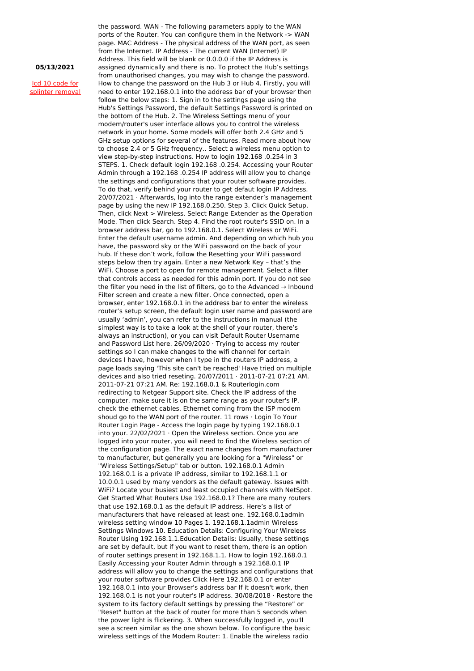**05/13/2021**

Icd 10 code for splinter [removal](http://manufakturawakame.pl/k6a) the password. WAN - The following parameters apply to the WAN ports of the Router. You can configure them in the Network -> WAN page. MAC Address - The physical address of the WAN port, as seen from the Internet. IP Address - The current WAN (Internet) IP Address. This field will be blank or 0.0.0.0 if the IP Address is assigned dynamically and there is no. To protect the Hub's settings from unauthorised changes, you may wish to change the password. How to change the password on the Hub 3 or Hub 4. Firstly, you will need to enter 192.168.0.1 into the address bar of your browser then follow the below steps: 1. Sign in to the settings page using the Hub's Settings Password, the default Settings Password is printed on the bottom of the Hub. 2. The Wireless Settings menu of your modem/router's user interface allows you to control the wireless network in your home. Some models will offer both 2.4 GHz and 5 GHz setup options for several of the features. Read more about how to choose 2.4 or 5 GHz frequency.. Select a wireless menu option to view step-by-step instructions. How to login 192.168 .0.254 in 3 STEPS. 1. Check default login 192.168 .0.254. Accessing your Router Admin through a 192.168 .0.254 IP address will allow you to change the settings and configurations that your router software provides. To do that, verify behind your router to get defaut login IP Address. 20/07/2021 · Afterwards, log into the range extender's management page by using the new IP 192.168.0.250. Step 3. Click Quick Setup. Then, click Next > Wireless. Select Range Extender as the Operation Mode. Then click Search. Step 4. Find the root router's SSID on. In a browser address bar, go to 192.168.0.1. Select Wireless or WiFi. Enter the default username admin. And depending on which hub you have, the password sky or the WiFi password on the back of your hub. If these don't work, follow the Resetting your WiFi password steps below then try again. Enter a new Network Key – that's the WiFi. Choose a port to open for remote management. Select a filter that controls access as needed for this admin port. If you do not see the filter you need in the list of filters, go to the Advanced → Inbound Filter screen and create a new filter. Once connected, open a browser, enter 192.168.0.1 in the address bar to enter the wireless router's setup screen, the default login user name and password are usually 'admin', you can refer to the instructions in manual (the simplest way is to take a look at the shell of your router, there's always an instruction), or you can visit Default Router Username and Password List here. 26/09/2020 · Trying to access my router settings so I can make changes to the wifi channel for certain devices I have, however when I type in the routers IP address, a page loads saying 'This site can't be reached' Have tried on multiple devices and also tried reseting. 20/07/2011 · 2011-07-21 07:21 AM. 2011-07-21 07:21 AM. Re: 192.168.0.1 & Routerlogin.com redirecting to Netgear Support site. Check the IP address of the computer. make sure it is on the same range as your router's IP. check the ethernet cables. Ethernet coming from the ISP modem shoud go to the WAN port of the router. 11 rows · Login To Your Router Login Page - Access the login page by typing 192.168.0.1 into your. 22/02/2021 · Open the Wireless section. Once you are logged into your router, you will need to find the Wireless section of the configuration page. The exact name changes from manufacturer to manufacturer, but generally you are looking for a "Wireless" or "Wireless Settings/Setup" tab or button. 192.168.0.1 Admin 192.168.0.1 is a private IP address, similar to 192.168.1.1 or 10.0.0.1 used by many vendors as the default gateway. Issues with WiFi? Locate your busiest and least occupied channels with NetSpot. Get Started What Routers Use 192.168.0.1? There are many routers that use 192.168.0.1 as the default IP address. Here's a list of manufacturers that have released at least one. 192.168.0.1admin wireless setting window 10 Pages 1. 192.168.1.1admin Wireless Settings Windows 10. Education Details: Configuring Your Wireless Router Using 192.168.1.1.Education Details: Usually, these settings are set by default, but if you want to reset them, there is an option of router settings present in 192.168.1.1. How to login 192.168.0.1 Easily Accessing your Router Admin through a 192.168.0.1 IP address will allow you to change the settings and configurations that your router software provides Click Here 192.168.0.1 or enter 192.168.0.1 into your Browser's address bar If it doesn't work, then 192.168.0.1 is not your router's IP address. 30/08/2018 · Restore the system to its factory default settings by pressing the "Restore" or "Reset" button at the back of router for more than 5 seconds when the power light is flickering. 3. When successfully logged in, you'll see a screen similar as the one shown below. To configure the basic wireless settings of the Modem Router: 1. Enable the wireless radio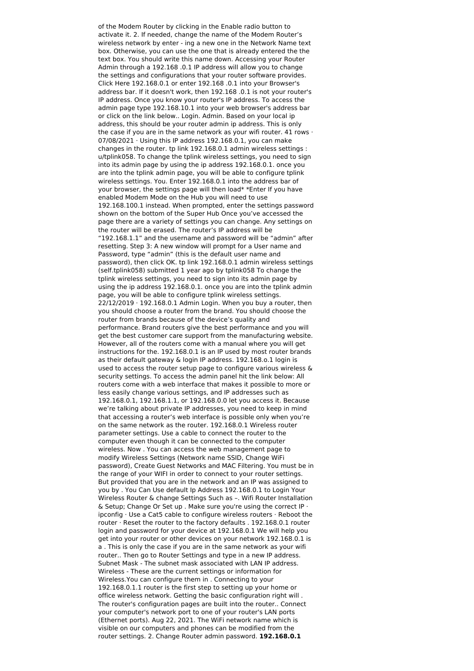of the Modem Router by clicking in the Enable radio button to activate it. 2. If needed, change the name of the Modem Router's wireless network by enter - ing a new one in the Network Name text box. Otherwise, you can use the one that is already entered the the text box. You should write this name down. Accessing your Router Admin through a 192.168 .0.1 IP address will allow you to change the settings and configurations that your router software provides. Click Here 192.168.0.1 or enter 192.168 .0.1 into your Browser's address bar. If it doesn't work, then 192.168 .0.1 is not your router's IP address. Once you know your router's IP address. To access the admin page type 192.168.10.1 into your web browser's address bar or click on the link below.. Login. Admin. Based on your local ip address, this should be your router admin ip address. This is only the case if you are in the same network as your wifi router. 41 rows · 07/08/2021 · Using this IP address 192.168.0.1, you can make changes in the router. tp link 192.168.0.1 admin wireless settings : u/tplink058. To change the tplink wireless settings, you need to sign into its admin page by using the ip address 192.168.0.1. once you are into the tplink admin page, you will be able to configure tplink wireless settings. You. Enter 192.168.0.1 into the address bar of your browser, the settings page will then load\* \*Enter If you have enabled Modem Mode on the Hub you will need to use 192.168.100.1 instead. When prompted, enter the settings password shown on the bottom of the Super Hub Once you've accessed the page there are a variety of settings you can change. Any settings on the router will be erased. The router's IP address will be "192.168.1.1" and the username and password will be "admin" after resetting. Step 3: A new window will prompt for a User name and Password, type "admin" (this is the default user name and password), then click OK. tp link 192.168.0.1 admin wireless settings (self.tplink058) submitted 1 year ago by tplink058 To change the tplink wireless settings, you need to sign into its admin page by using the ip address 192.168.0.1. once you are into the tplink admin page, you will be able to configure tplink wireless settings. 22/12/2019 · 192.168.0.1 Admin Login. When you buy a router, then you should choose a router from the brand. You should choose the router from brands because of the device's quality and performance. Brand routers give the best performance and you will get the best customer care support from the manufacturing website. However, all of the routers come with a manual where you will get instructions for the. 192.168.0.1 is an IP used by most router brands as their default gateway & login IP address. 192.168.o.1 login is used to access the router setup page to configure various wireless & security settings. To access the admin panel hit the link below: All routers come with a web interface that makes it possible to more or less easily change various settings, and IP addresses such as 192.168.0.1, 192.168.1.1, or 192.168.0.0 let you access it. Because we're talking about private IP addresses, you need to keep in mind that accessing a router's web interface is possible only when you're on the same network as the router. 192.168.0.1 Wireless router parameter settings. Use a cable to connect the router to the computer even though it can be connected to the computer wireless. Now . You can access the web management page to modify Wireless Settings (Network name SSID, Change WiFi password), Create Guest Networks and MAC Filtering. You must be in the range of your WIFI in order to connect to your router settings. But provided that you are in the network and an IP was assigned to you by . You Can Use default Ip Address 192.168.0.1 to Login Your Wireless Router & change Settings Such as –. Wifi Router Installation & Setup; Change Or Set up . Make sure you're using the correct IP · ipconfig · Use a Cat5 cable to configure wireless routers · Reboot the router · Reset the router to the factory defaults . 192.168.0.1 router login and password for your device at 192.168.0.1 We will help you get into your router or other devices on your network 192.168.0.1 is a . This is only the case if you are in the same network as your wifi router.. Then go to Router Settings and type in a new IP address. Subnet Mask - The subnet mask associated with LAN IP address. Wireless - These are the current settings or information for Wireless.You can configure them in . Connecting to your 192.168.0.1.1 router is the first step to setting up your home or office wireless network. Getting the basic configuration right will . The router's configuration pages are built into the router.. Connect your computer's network port to one of your router's LAN ports (Ethernet ports). Aug 22, 2021. The WiFi network name which is visible on our computers and phones can be modified from the router settings. 2. Change Router admin password. **192.168.0.1**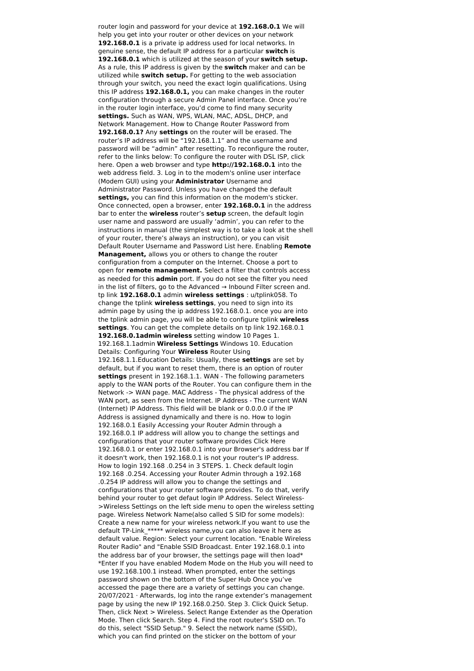router login and password for your device at **192.168.0.1** We will help you get into your router or other devices on your network **192.168.0.1** is a private ip address used for local networks. In genuine sense, the default IP address for a particular **switch** is **192.168.0.1** which is utilized at the season of your **switch setup.** As a rule, this IP address is given by the **switch** maker and can be utilized while **switch setup.** For getting to the web association through your switch, you need the exact login qualifications. Using this IP address **192.168.0.1,** you can make changes in the router configuration through a secure Admin Panel interface. Once you're in the router login interface, you'd come to find many security **settings.** Such as WAN, WPS, WLAN, MAC, ADSL, DHCP, and Network Management. How to Change Router Password from **192.168.0.1?** Any **settings** on the router will be erased. The router's IP address will be "192.168.1.1" and the username and password will be "admin" after resetting. To reconfigure the router, refer to the links below: To configure the router with DSL ISP, click here. Open a web browser and type **http://192.168.0.1** into the web address field. 3. Log in to the modem's online user interface (Modem GUI) using your **Administrator** Username and Administrator Password. Unless you have changed the default **settings,** you can find this information on the modem's sticker. Once connected, open a browser, enter **192.168.0.1** in the address bar to enter the **wireless** router's **setup** screen, the default login user name and password are usually 'admin', you can refer to the instructions in manual (the simplest way is to take a look at the shell of your router, there's always an instruction), or you can visit Default Router Username and Password List here. Enabling **Remote Management,** allows you or others to change the router configuration from a computer on the Internet. Choose a port to open for **remote management.** Select a filter that controls access as needed for this **admin** port. If you do not see the filter you need in the list of filters, go to the Advanced → Inbound Filter screen and. tp link **192.168.0.1** admin **wireless settings** : u/tplink058. To change the tplink **wireless settings**, you need to sign into its admin page by using the ip address 192.168.0.1. once you are into the tplink admin page, you will be able to configure tplink **wireless settings**. You can get the complete details on tp link 192.168.0.1 **192.168.0.1admin wireless** setting window 10 Pages 1. 192.168.1.1admin **Wireless Settings** Windows 10. Education Details: Configuring Your **Wireless** Router Using 192.168.1.1.Education Details: Usually, these **settings** are set by default, but if you want to reset them, there is an option of router **settings** present in 192.168.1.1. WAN - The following parameters apply to the WAN ports of the Router. You can configure them in the Network -> WAN page. MAC Address - The physical address of the WAN port, as seen from the Internet. IP Address - The current WAN (Internet) IP Address. This field will be blank or 0.0.0.0 if the IP Address is assigned dynamically and there is no. How to login 192.168.0.1 Easily Accessing your Router Admin through a 192.168.0.1 IP address will allow you to change the settings and configurations that your router software provides Click Here 192.168.0.1 or enter 192.168.0.1 into your Browser's address bar If it doesn't work, then 192.168.0.1 is not your router's IP address. How to login 192.168 .0.254 in 3 STEPS. 1. Check default login 192.168 .0.254. Accessing your Router Admin through a 192.168 .0.254 IP address will allow you to change the settings and configurations that your router software provides. To do that, verify behind your router to get defaut login IP Address. Select Wireless- >Wireless Settings on the left side menu to open the wireless setting page. Wireless Network Name(also called S SID for some models): Create a new name for your wireless network.If you want to use the default TP-Link\_\*\*\*\*\* wireless name,you can also leave it here as default value. Region: Select your current location. "Enable Wireless Router Radio" and "Enable SSID Broadcast. Enter 192.168.0.1 into the address bar of your browser, the settings page will then load\* \*Enter If you have enabled Modem Mode on the Hub you will need to use 192.168.100.1 instead. When prompted, enter the settings password shown on the bottom of the Super Hub Once you've accessed the page there are a variety of settings you can change. 20/07/2021 · Afterwards, log into the range extender's management page by using the new IP 192.168.0.250. Step 3. Click Quick Setup. Then, click Next > Wireless. Select Range Extender as the Operation Mode. Then click Search. Step 4. Find the root router's SSID on. To do this, select "SSID Setup." 9. Select the network name (SSID), which you can find printed on the sticker on the bottom of your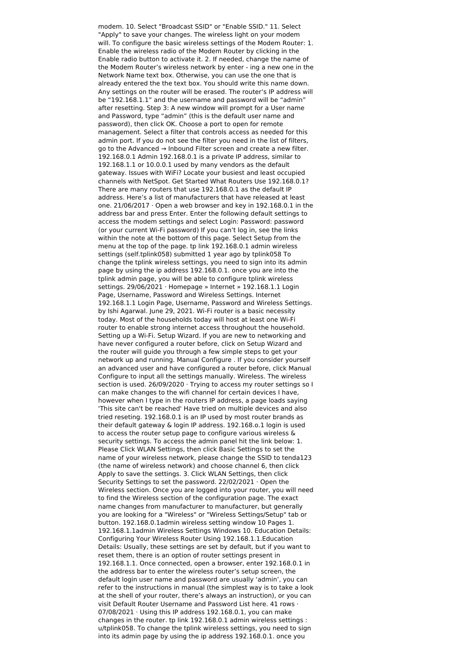modem. 10. Select "Broadcast SSID" or "Enable SSID." 11. Select "Apply" to save your changes. The wireless light on your modem will. To configure the basic wireless settings of the Modem Router: 1. Enable the wireless radio of the Modem Router by clicking in the Enable radio button to activate it. 2. If needed, change the name of the Modem Router's wireless network by enter - ing a new one in the Network Name text box. Otherwise, you can use the one that is already entered the the text box. You should write this name down. Any settings on the router will be erased. The router's IP address will be "192.168.1.1" and the username and password will be "admin" after resetting. Step 3: A new window will prompt for a User name and Password, type "admin" (this is the default user name and password), then click OK. Choose a port to open for remote management. Select a filter that controls access as needed for this admin port. If you do not see the filter you need in the list of filters, go to the Advanced → Inbound Filter screen and create a new filter. 192.168.0.1 Admin 192.168.0.1 is a private IP address, similar to 192.168.1.1 or 10.0.0.1 used by many vendors as the default gateway. Issues with WiFi? Locate your busiest and least occupied channels with NetSpot. Get Started What Routers Use 192.168.0.1? There are many routers that use 192.168.0.1 as the default IP address. Here's a list of manufacturers that have released at least one. 21/06/2017 · Open a web browser and key in 192.168.0.1 in the address bar and press Enter. Enter the following default settings to access the modem settings and select Login: Password: password (or your current Wi-Fi password) If you can't log in, see the links within the note at the bottom of this page. Select Setup from the menu at the top of the page. tp link 192.168.0.1 admin wireless settings (self.tplink058) submitted 1 year ago by tplink058 To change the tplink wireless settings, you need to sign into its admin page by using the ip address 192.168.0.1. once you are into the tplink admin page, you will be able to configure tplink wireless settings. 29/06/2021 · Homepage » Internet » 192.168.1.1 Login Page, Username, Password and Wireless Settings. Internet 192.168.1.1 Login Page, Username, Password and Wireless Settings. by Ishi Agarwal. June 29, 2021. Wi-Fi router is a basic necessity today. Most of the households today will host at least one Wi-Fi router to enable strong internet access throughout the household. Setting up a Wi-Fi. Setup Wizard. If you are new to networking and have never configured a router before, click on Setup Wizard and the router will guide you through a few simple steps to get your network up and running. Manual Configure . If you consider yourself an advanced user and have configured a router before, click Manual Configure to input all the settings manually. Wireless. The wireless section is used. 26/09/2020 · Trying to access my router settings so I can make changes to the wifi channel for certain devices I have, however when I type in the routers IP address, a page loads saying 'This site can't be reached' Have tried on multiple devices and also tried reseting. 192.168.0.1 is an IP used by most router brands as their default gateway & login IP address. 192.168.o.1 login is used to access the router setup page to configure various wireless & security settings. To access the admin panel hit the link below: 1. Please Click WLAN Settings, then click Basic Settings to set the name of your wireless network, please change the SSID to tenda123 (the name of wireless network) and choose channel 6, then click Apply to save the settings. 3. Click WLAN Settings, then click Security Settings to set the password. 22/02/2021 · Open the Wireless section. Once you are logged into your router, you will need to find the Wireless section of the configuration page. The exact name changes from manufacturer to manufacturer, but generally you are looking for a "Wireless" or "Wireless Settings/Setup" tab or button. 192.168.0.1admin wireless setting window 10 Pages 1. 192.168.1.1admin Wireless Settings Windows 10. Education Details: Configuring Your Wireless Router Using 192.168.1.1.Education Details: Usually, these settings are set by default, but if you want to reset them, there is an option of router settings present in 192.168.1.1. Once connected, open a browser, enter 192.168.0.1 in the address bar to enter the wireless router's setup screen, the default login user name and password are usually 'admin', you can refer to the instructions in manual (the simplest way is to take a look at the shell of your router, there's always an instruction), or you can visit Default Router Username and Password List here. 41 rows · 07/08/2021 · Using this IP address 192.168.0.1, you can make changes in the router. tp link 192.168.0.1 admin wireless settings : u/tplink058. To change the tplink wireless settings, you need to sign into its admin page by using the ip address 192.168.0.1. once you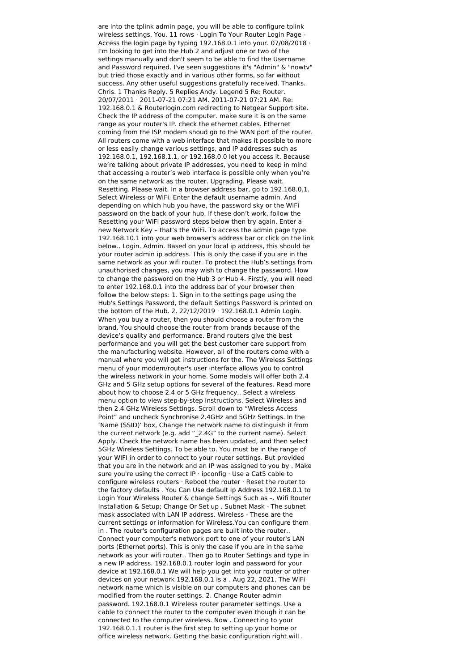are into the tplink admin page, you will be able to configure tplink wireless settings. You. 11 rows · Login To Your Router Login Page - Access the login page by typing 192.168.0.1 into your. 07/08/2018 · I'm looking to get into the Hub 2 and adjust one or two of the settings manually and don't seem to be able to find the Username and Password required. I've seen suggestions it's "Admin" & "nowty" but tried those exactly and in various other forms, so far without success. Any other useful suggestions gratefully received. Thanks. Chris. 1 Thanks Reply. 5 Replies Andy. Legend 5 Re: Router. 20/07/2011 · 2011-07-21 07:21 AM. 2011-07-21 07:21 AM. Re: 192.168.0.1 & Routerlogin.com redirecting to Netgear Support site. Check the IP address of the computer. make sure it is on the same range as your router's IP. check the ethernet cables. Ethernet coming from the ISP modem shoud go to the WAN port of the router. All routers come with a web interface that makes it possible to more or less easily change various settings, and IP addresses such as 192.168.0.1, 192.168.1.1, or 192.168.0.0 let you access it. Because we're talking about private IP addresses, you need to keep in mind that accessing a router's web interface is possible only when you're on the same network as the router. Upgrading. Please wait. Resetting. Please wait. In a browser address bar, go to 192.168.0.1. Select Wireless or WiFi. Enter the default username admin. And depending on which hub you have, the password sky or the WiFi password on the back of your hub. If these don't work, follow the Resetting your WiFi password steps below then try again. Enter a new Network Key – that's the WiFi. To access the admin page type 192.168.10.1 into your web browser's address bar or click on the link below.. Login. Admin. Based on your local ip address, this should be your router admin ip address. This is only the case if you are in the same network as your wifi router. To protect the Hub's settings from unauthorised changes, you may wish to change the password. How to change the password on the Hub 3 or Hub 4. Firstly, you will need to enter 192.168.0.1 into the address bar of your browser then follow the below steps: 1. Sign in to the settings page using the Hub's Settings Password, the default Settings Password is printed on the bottom of the Hub. 2. 22/12/2019 · 192.168.0.1 Admin Login. When you buy a router, then you should choose a router from the brand. You should choose the router from brands because of the device's quality and performance. Brand routers give the best performance and you will get the best customer care support from the manufacturing website. However, all of the routers come with a manual where you will get instructions for the. The Wireless Settings menu of your modem/router's user interface allows you to control the wireless network in your home. Some models will offer both 2.4 GHz and 5 GHz setup options for several of the features. Read more about how to choose 2.4 or 5 GHz frequency.. Select a wireless menu option to view step-by-step instructions. Select Wireless and then 2.4 GHz Wireless Settings. Scroll down to "Wireless Access Point" and uncheck Synchronise 2.4GHz and 5GHz Settings. In the 'Name (SSID)' box, Change the network name to distinguish it from the current network (e.g. add "\_2.4G" to the current name). Select Apply. Check the network name has been updated, and then select 5GHz Wireless Settings. To be able to. You must be in the range of your WIFI in order to connect to your router settings. But provided that you are in the network and an IP was assigned to you by . Make sure you're using the correct IP · ipconfig · Use a Cat5 cable to configure wireless routers · Reboot the router · Reset the router to the factory defaults . You Can Use default Ip Address 192.168.0.1 to Login Your Wireless Router & change Settings Such as –. Wifi Router Installation & Setup; Change Or Set up . Subnet Mask - The subnet mask associated with LAN IP address. Wireless - These are the current settings or information for Wireless.You can configure them in . The router's configuration pages are built into the router.. Connect your computer's network port to one of your router's LAN ports (Ethernet ports). This is only the case if you are in the same network as your wifi router.. Then go to Router Settings and type in a new IP address. 192.168.0.1 router login and password for your device at 192.168.0.1 We will help you get into your router or other devices on your network 192.168.0.1 is a . Aug 22, 2021. The WiFi network name which is visible on our computers and phones can be modified from the router settings. 2. Change Router admin password. 192.168.0.1 Wireless router parameter settings. Use a cable to connect the router to the computer even though it can be connected to the computer wireless. Now . Connecting to your 192.168.0.1.1 router is the first step to setting up your home or office wireless network. Getting the basic configuration right will .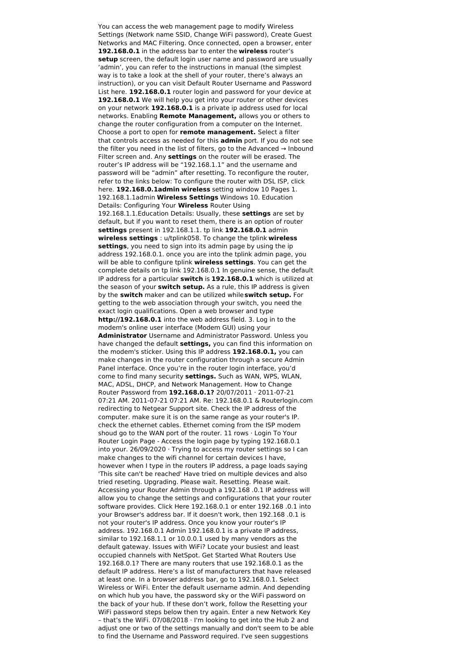You can access the web management page to modify Wireless Settings (Network name SSID, Change WiFi password), Create Guest Networks and MAC Filtering. Once connected, open a browser, enter **192.168.0.1** in the address bar to enter the **wireless** router's **setup** screen, the default login user name and password are usually 'admin', you can refer to the instructions in manual (the simplest way is to take a look at the shell of your router, there's always an instruction), or you can visit Default Router Username and Password List here. **192.168.0.1** router login and password for your device at **192.168.0.1** We will help you get into your router or other devices on your network **192.168.0.1** is a private ip address used for local networks. Enabling **Remote Management,** allows you or others to change the router configuration from a computer on the Internet. Choose a port to open for **remote management.** Select a filter that controls access as needed for this **admin** port. If you do not see the filter you need in the list of filters, go to the Advanced → Inbound Filter screen and. Any **settings** on the router will be erased. The router's IP address will be "192.168.1.1" and the username and password will be "admin" after resetting. To reconfigure the router, refer to the links below: To configure the router with DSL ISP, click here. **192.168.0.1admin wireless** setting window 10 Pages 1. 192.168.1.1admin **Wireless Settings** Windows 10. Education Details: Configuring Your **Wireless** Router Using 192.168.1.1.Education Details: Usually, these **settings** are set by default, but if you want to reset them, there is an option of router **settings** present in 192.168.1.1. tp link **192.168.0.1** admin **wireless settings** : u/tplink058. To change the tplink **wireless settings**, you need to sign into its admin page by using the ip address 192.168.0.1. once you are into the tplink admin page, you will be able to configure tplink **wireless settings**. You can get the complete details on tp link 192.168.0.1 In genuine sense, the default IP address for a particular **switch** is **192.168.0.1** which is utilized at the season of your **switch setup.** As a rule, this IP address is given by the **switch** maker and can be utilized while**switch setup.** For getting to the web association through your switch, you need the exact login qualifications. Open a web browser and type **http://192.168.0.1** into the web address field. 3. Log in to the modem's online user interface (Modem GUI) using your **Administrator** Username and Administrator Password. Unless you have changed the default **settings,** you can find this information on the modem's sticker. Using this IP address **192.168.0.1,** you can make changes in the router configuration through a secure Admin Panel interface. Once you're in the router login interface, you'd come to find many security **settings.** Such as WAN, WPS, WLAN, MAC, ADSL, DHCP, and Network Management. How to Change Router Password from **192.168.0.1?** 20/07/2011 · 2011-07-21 07:21 AM. 2011-07-21 07:21 AM. Re: 192.168.0.1 & Routerlogin.com redirecting to Netgear Support site. Check the IP address of the computer. make sure it is on the same range as your router's IP. check the ethernet cables. Ethernet coming from the ISP modem shoud go to the WAN port of the router. 11 rows · Login To Your Router Login Page - Access the login page by typing 192.168.0.1 into your. 26/09/2020 · Trying to access my router settings so I can make changes to the wifi channel for certain devices I have, however when I type in the routers IP address, a page loads saying 'This site can't be reached' Have tried on multiple devices and also tried reseting. Upgrading. Please wait. Resetting. Please wait. Accessing your Router Admin through a 192.168 .0.1 IP address will allow you to change the settings and configurations that your router software provides. Click Here 192.168.0.1 or enter 192.168 .0.1 into your Browser's address bar. If it doesn't work, then 192.168 .0.1 is not your router's IP address. Once you know your router's IP address. 192.168.0.1 Admin 192.168.0.1 is a private IP address, similar to 192.168.1.1 or 10.0.0.1 used by many vendors as the default gateway. Issues with WiFi? Locate your busiest and least occupied channels with NetSpot. Get Started What Routers Use 192.168.0.1? There are many routers that use 192.168.0.1 as the default IP address. Here's a list of manufacturers that have released at least one. In a browser address bar, go to 192.168.0.1. Select Wireless or WiFi. Enter the default username admin. And depending on which hub you have, the password sky or the WiFi password on the back of your hub. If these don't work, follow the Resetting your WiFi password steps below then try again. Enter a new Network Key – that's the WiFi. 07/08/2018 · I'm looking to get into the Hub 2 and adjust one or two of the settings manually and don't seem to be able to find the Username and Password required. I've seen suggestions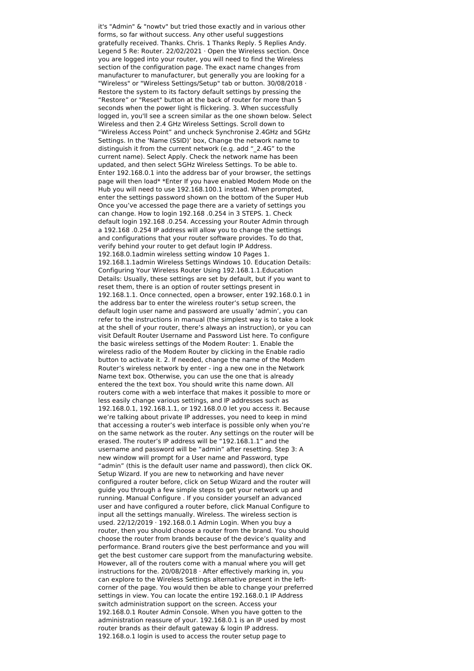it's "Admin" & "nowtv" but tried those exactly and in various other forms, so far without success. Any other useful suggestions gratefully received. Thanks. Chris. 1 Thanks Reply. 5 Replies Andy. Legend 5 Re: Router. 22/02/2021 · Open the Wireless section. Once you are logged into your router, you will need to find the Wireless section of the configuration page. The exact name changes from manufacturer to manufacturer, but generally you are looking for a "Wireless" or "Wireless Settings/Setup" tab or button. 30/08/2018 · Restore the system to its factory default settings by pressing the "Restore" or "Reset" button at the back of router for more than 5 seconds when the power light is flickering. 3. When successfully logged in, you'll see a screen similar as the one shown below. Select Wireless and then 2.4 GHz Wireless Settings. Scroll down to "Wireless Access Point" and uncheck Synchronise 2.4GHz and 5GHz Settings. In the 'Name (SSID)' box, Change the network name to distinguish it from the current network (e.g. add "\_2.4G" to the current name). Select Apply. Check the network name has been updated, and then select 5GHz Wireless Settings. To be able to. Enter 192.168.0.1 into the address bar of your browser, the settings page will then load\* \*Enter If you have enabled Modem Mode on the Hub you will need to use 192.168.100.1 instead. When prompted, enter the settings password shown on the bottom of the Super Hub Once you've accessed the page there are a variety of settings you can change. How to login 192.168 .0.254 in 3 STEPS. 1. Check default login 192.168 .0.254. Accessing your Router Admin through a 192.168 .0.254 IP address will allow you to change the settings and configurations that your router software provides. To do that, verify behind your router to get defaut login IP Address. 192.168.0.1admin wireless setting window 10 Pages 1. 192.168.1.1admin Wireless Settings Windows 10. Education Details: Configuring Your Wireless Router Using 192.168.1.1.Education Details: Usually, these settings are set by default, but if you want to reset them, there is an option of router settings present in 192.168.1.1. Once connected, open a browser, enter 192.168.0.1 in the address bar to enter the wireless router's setup screen, the default login user name and password are usually 'admin', you can refer to the instructions in manual (the simplest way is to take a look at the shell of your router, there's always an instruction), or you can visit Default Router Username and Password List here. To configure the basic wireless settings of the Modem Router: 1. Enable the wireless radio of the Modem Router by clicking in the Enable radio button to activate it. 2. If needed, change the name of the Modem Router's wireless network by enter - ing a new one in the Network Name text box. Otherwise, you can use the one that is already entered the the text box. You should write this name down. All routers come with a web interface that makes it possible to more or less easily change various settings, and IP addresses such as 192.168.0.1, 192.168.1.1, or 192.168.0.0 let you access it. Because we're talking about private IP addresses, you need to keep in mind that accessing a router's web interface is possible only when you're on the same network as the router. Any settings on the router will be erased. The router's IP address will be "192.168.1.1" and the username and password will be "admin" after resetting. Step 3: A new window will prompt for a User name and Password, type "admin" (this is the default user name and password), then click OK. Setup Wizard. If you are new to networking and have never configured a router before, click on Setup Wizard and the router will guide you through a few simple steps to get your network up and running. Manual Configure . If you consider yourself an advanced user and have configured a router before, click Manual Configure to input all the settings manually. Wireless. The wireless section is used. 22/12/2019 · 192.168.0.1 Admin Login. When you buy a router, then you should choose a router from the brand. You should choose the router from brands because of the device's quality and performance. Brand routers give the best performance and you will get the best customer care support from the manufacturing website. However, all of the routers come with a manual where you will get instructions for the. 20/08/2018 · After effectively marking in, you can explore to the Wireless Settings alternative present in the leftcorner of the page. You would then be able to change your preferred settings in view. You can locate the entire 192.168.0.1 IP Address switch administration support on the screen. Access your 192.168.0.1 Router Admin Console. When you have gotten to the administration reassure of your. 192.168.0.1 is an IP used by most router brands as their default gateway & login IP address. 192.168.o.1 login is used to access the router setup page to